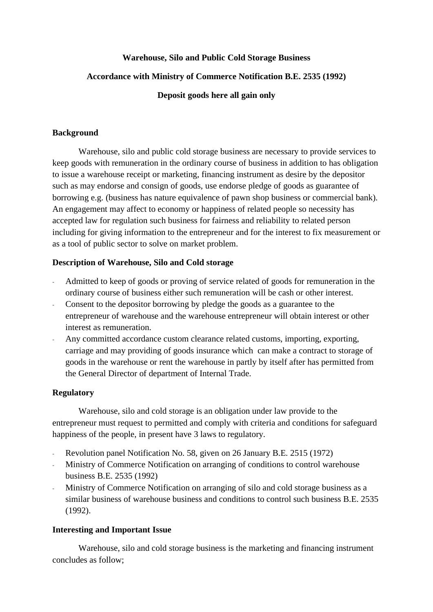### **Warehouse, Silo and Public Cold Storage Business**

### **Accordance with Ministry of Commerce Notification B.E. 2535 (1992)**

#### **Deposit goods here all gain only**

#### **Background**

Warehouse, silo and public cold storage business are necessary to provide services to keep goods with remuneration in the ordinary course of business in addition to has obligation to issue a warehouse receipt or marketing, financing instrument as desire by the depositor such as may endorse and consign of goods, use endorse pledge of goods as guarantee of borrowing e.g. (business has nature equivalence of pawn shop business or commercial bank). An engagement may affect to economy or happiness of related people so necessity has accepted law for regulation such business for fairness and reliability to related person including for giving information to the entrepreneur and for the interest to fix measurement or as a tool of public sector to solve on market problem.

### **Description of Warehouse, Silo and Cold storage**

- Admitted to keep of goods or proving of service related of goods for remuneration in the ordinary course of business either such remuneration will be cash or other interest.
- Consent to the depositor borrowing by pledge the goods as a guarantee to the entrepreneur of warehouse and the warehouse entrepreneur will obtain interest or other interest as remuneration.
- Any committed accordance custom clearance related customs, importing, exporting, carriage and may providing of goods insurance which can make a contract to storage of goods in the warehouse or rent the warehouse in partly by itself after has permitted from the General Director of department of Internal Trade.

### **Regulatory**

Warehouse, silo and cold storage is an obligation under law provide to the entrepreneur must request to permitted and comply with criteria and conditions for safeguard happiness of the people, in present have 3 laws to regulatory.

- Revolution panel Notification No. 58, given on 26 January B.E. 2515 (1972)
- Ministry of Commerce Notification on arranging of conditions to control warehouse business B.E. 2535 (1992)
- Ministry of Commerce Notification on arranging of silo and cold storage business as a similar business of warehouse business and conditions to control such business B.E. 2535 (1992).

#### **Interesting and Important Issue**

Warehouse, silo and cold storage business is the marketing and financing instrument concludes as follow;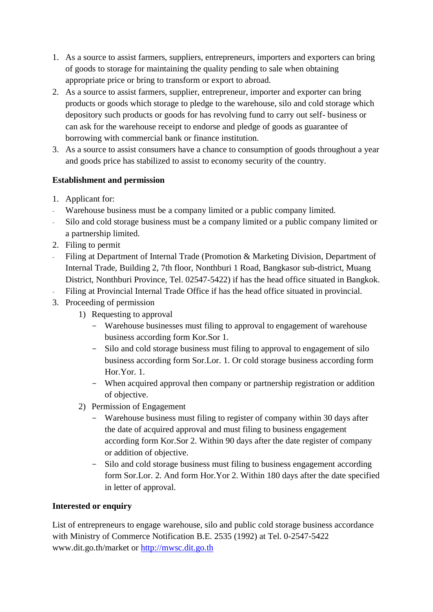- 1. As a source to assist farmers, suppliers, entrepreneurs, importers and exporters can bring of goods to storage for maintaining the quality pending to sale when obtaining appropriate price or bring to transform or export to abroad.
- 2. As a source to assist farmers, supplier, entrepreneur, importer and exporter can bring products or goods which storage to pledge to the warehouse, silo and cold storage which depository such products or goods for has revolving fund to carry out self- business or can ask for the warehouse receipt to endorse and pledge of goods as guarantee of borrowing with commercial bank or finance institution.
- 3. As a source to assist consumers have a chance to consumption of goods throughout a year and goods price has stabilized to assist to economy security of the country.

# **Establishment and permission**

- 1. Applicant for:
- Warehouse business must be a company limited or a public company limited.
- Silo and cold storage business must be a company limited or a public company limited or a partnership limited.
- 2. Filing to permit
- Filing at Department of Internal Trade (Promotion & Marketing Division, Department of Internal Trade, Building 2, 7th floor, Nonthburi 1 Road, Bangkasor sub-district, Muang District, Nonthburi Province, Tel. 02547-5422) if has the head office situated in Bangkok.
- Filing at Provincial Internal Trade Office if has the head office situated in provincial.
- 3. Proceeding of permission
	- 1) Requesting to approval
		- Warehouse businesses must filing to approval to engagement of warehouse business according form Kor.Sor 1.
		- Silo and cold storage business must filing to approval to engagement of silo business according form Sor.Lor. 1. Or cold storage business according form Hor.Yor. 1.
		- When acquired approval then company or partnership registration or addition of objective.
	- 2) Permission of Engagement
		- Warehouse business must filing to register of company within 30 days after the date of acquired approval and must filing to business engagement according form Kor.Sor 2. Within 90 days after the date register of company or addition of objective.
		- Silo and cold storage business must filing to business engagement according form Sor.Lor. 2. And form Hor.Yor 2. Within 180 days after the date specified in letter of approval.

## **Interested or enquiry**

List of entrepreneurs to engage warehouse, silo and public cold storage business accordance with Ministry of Commerce Notification B.E. 2535 (1992) at Tel. 0-2547-5422 www.dit.go.th/market or [http://mwsc.dit.go.th](http://mwsc.dit.go.th/)